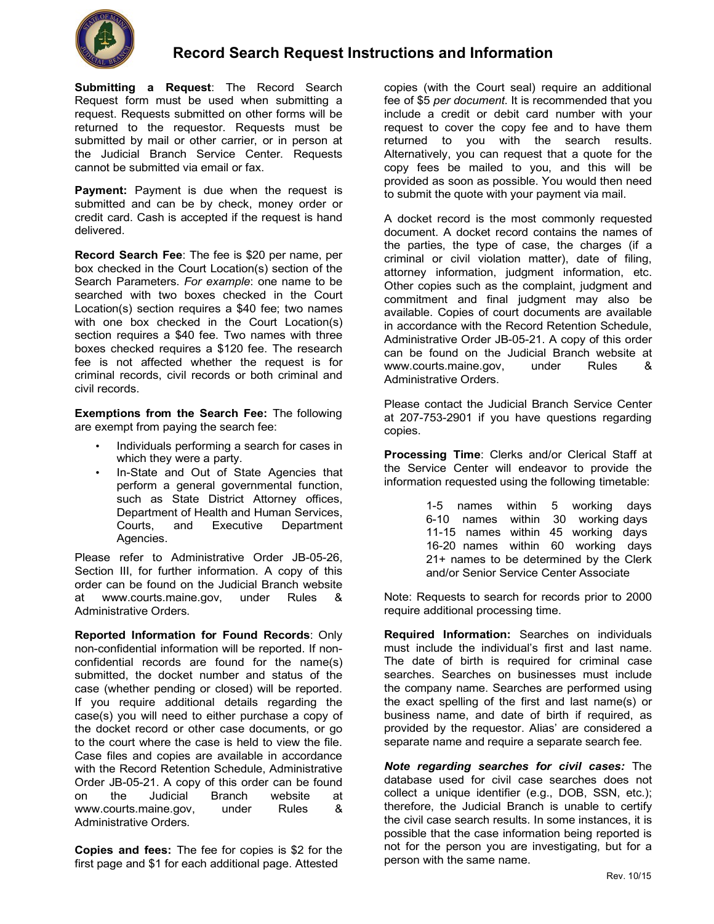

**Submitting a Request**: The Record Search Request form must be used when submitting a request. Requests submitted on other forms will be returned to the requestor. Requests must be submitted by mail or other carrier, or in person at the Judicial Branch Service Center. Requests cannot be submitted via email or fax.

**Payment:** Payment is due when the request is submitted and can be by check, money order or credit card. Cash is accepted if the request is hand delivered.

**Record Search Fee**: The fee is \$20 per name, per box checked in the Court Location(s) section of the Search Parameters. *For example*: one name to be searched with two boxes checked in the Court Location(s) section requires a \$40 fee; two names with one box checked in the Court Location(s) section requires a \$40 fee. Two names with three boxes checked requires a \$120 fee. The research fee is not affected whether the request is for criminal records, civil records or both criminal and civil records.

**Exemptions from the Search Fee:** The following are exempt from paying the search fee:

- Individuals performing a search for cases in which they were a party.
- In-State and Out of State Agencies that perform a general governmental function, such as State District Attorney offices, Department of Health and Human Services, Courts, and Executive Department Agencies.

Please refer to Administrative Order JB-05-26, Section III, for further information. A copy of this order can be found on the Judicial Branch website at www.courts.maine.gov, under Rules & Administrative Orders.

**Reported Information for Found Records**: Only non-confidential information will be reported. If nonconfidential records are found for the name(s) submitted, the docket number and status of the case (whether pending or closed) will be reported. If you require additional details regarding the case(s) you will need to either purchase a copy of the docket record or other case documents, or go to the court where the case is held to view the file. Case files and copies are available in accordance with the Record Retention Schedule, Administrative Order JB-05-21. A copy of this order can be found on the Judicial Branch website at www.courts.maine.gov, under Rules & Administrative Orders.

**Copies and fees:** The fee for copies is \$2 for the first page and \$1 for each additional page. Attested

copies (with the Court seal) require an additional fee of \$5 *per document*. It is recommended that you include a credit or debit card number with your request to cover the copy fee and to have them returned to you with the search results. Alternatively, you can request that a quote for the copy fees be mailed to you, and this will be provided as soon as possible. You would then need to submit the quote with your payment via mail.

A docket record is the most commonly requested document. A docket record contains the names of the parties, the type of case, the charges (if a criminal or civil violation matter), date of filing, attorney information, judgment information, etc. Other copies such as the complaint, judgment and commitment and final judgment may also be available. Copies of court documents are available in accordance with the Record Retention Schedule, Administrative Order JB-05-21. A copy of this order can be found on the Judicial Branch website at www.courts.maine.gov, under Rules & Administrative Orders.

Please contact the Judicial Branch Service Center at 207-753-2901 if you have questions regarding copies.

**Processing Time**: Clerks and/or Clerical Staff at the Service Center will endeavor to provide the information requested using the following timetable:

> 1-5 names within 5 working days 6-10 names within 30 working days 11-15 names within 45 working days 16-20 names within 60 working days 21+ names to be determined by the Clerk and/or Senior Service Center Associate

Note: Requests to search for records prior to 2000 require additional processing time.

**Required Information:** Searches on individuals must include the individual's first and last name. The date of birth is required for criminal case searches. Searches on businesses must include the company name. Searches are performed using the exact spelling of the first and last name(s) or business name, and date of birth if required, as provided by the requestor. Alias' are considered a separate name and require a separate search fee.

*Note regarding searches for civil cases:* The database used for civil case searches does not collect a unique identifier (e.g., DOB, SSN, etc.); therefore, the Judicial Branch is unable to certify the civil case search results. In some instances, it is possible that the case information being reported is not for the person you are investigating, but for a person with the same name.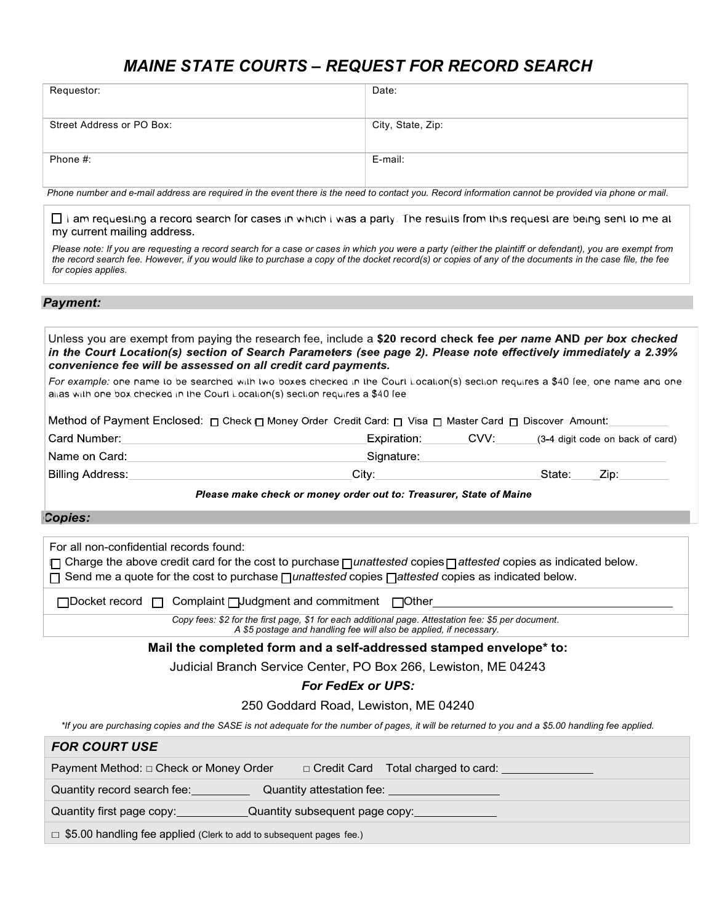# *MAINE STATE COURTS – REQUEST FOR RECORD SEARCH*

| Requestor:                | Date:             |
|---------------------------|-------------------|
|                           |                   |
| Street Address or PO Box: | City, State, Zip: |
|                           |                   |
|                           |                   |
|                           |                   |
| Phone #:                  | E-mail:           |
|                           |                   |
|                           |                   |
|                           |                   |

*Phone number and e-mail address are required in the event there is the need to contact you. Record information cannot be provided via phone or mail.*

□ I am requesting a record search for cases in which I was a party. The results from this request are being sent to me at my current mailing address.

*Please note: If you are requesting a record search for a case or cases in which you were a party (either the plaintiff or defendant), you are exempt from the record search fee. However, if you would like to purchase a copy of the docket record(s) or copies of any of the documents in the case file, the fee for copies applies*.

### *Payment:*

Unless you are exempt from paying the research fee, include a \$20 record check fee per name AND per box checked in the Court Location(s) section of Search Parameters (see page 2). Please note effectively immediately a 2.39% convenience fee will be assessed on all credit card payments.

For example: one name to be searched with two boxes checked in the Court Location(s) section requires a \$40 fee; one name and one alias with one box checked in the Court Location(s) section requires a \$40 fee

| _Method of Payment Enclosed: או Check אo Money Order Credit Card: אן Visa שׁ Master Card שׁ Discover Amount:_ |  |             |      |        |                                  |
|---------------------------------------------------------------------------------------------------------------|--|-------------|------|--------|----------------------------------|
| Card Number:                                                                                                  |  | Expiration: | CVV: |        | (3-4 digit code on back of card) |
| Name on Card:                                                                                                 |  | Signature:  |      |        |                                  |
| <sup>∣</sup> Billing Address:                                                                                 |  | Citv:       |      | State: | Zip:                             |

Please make check or money order out to: Treasurer, State of Maine

#### *Copies:*

For all non-confidential records found: ☐ Charge the above credit card for the cost to purchase ☐ *unattested* copies ☐ *attested* copies as indicated below. ☐ Send me a quote for the cost to purchase ☐ *unattested* copies ☐ *attested* copies as indicated below. □Docket record □ Complaint □Judgment and commitment □Other

*Copy fees: \$2 for the first page, \$1 for each additional page. Attestation fee: \$5 per document.*

*A \$5 postage and handling fee will also be applied, if necessary.*

#### **Mail the completed form and a self-addressed stamped envelope\* to:**

Judicial Branch Service Center, PO Box 266, Lewiston, ME 04243

## *For FedEx or UPS:*

250 Goddard Road, Lewiston, ME 04240

*\*If you are purchasing copies and the SASE is not adequate for the number of pages, it will be returned to you and a \$5.00 handling fee applied.*

| <b>FOR COURT USE</b>                                                       |  |                                             |                                      |
|----------------------------------------------------------------------------|--|---------------------------------------------|--------------------------------------|
| Payment Method: □ Check or Money Order                                     |  |                                             | □ Credit Card Total charged to card: |
| Quantity record search fee:                                                |  | Quantity attestation fee: <u>containing</u> |                                      |
| Quantity first page copy:                                                  |  |                                             | Quantity subsequent page copy:       |
| $\Box$ \$5.00 handling fee applied (Clerk to add to subsequent pages fee.) |  |                                             |                                      |